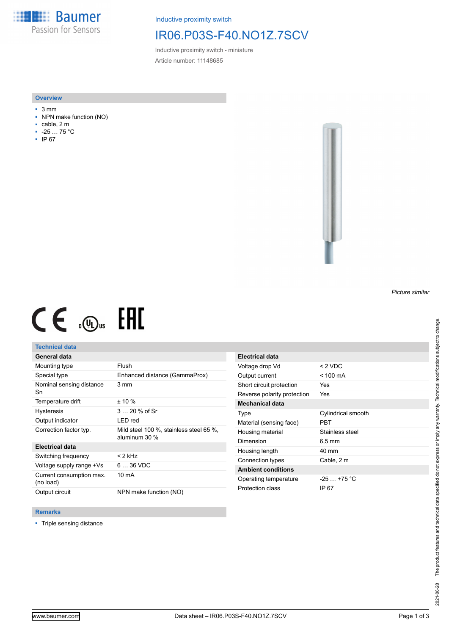**Baumer** Passion for Sensors

Inductive proximity switch

# IR06.P03S-F40.NO1Z.7SCV

Inductive proximity switch - miniature Article number: 11148685

#### **Overview**

- 3 mm
- NPN make function (NO)
- cable, 2 m
- -25 … 75 °C
- IP 67



# $CE \mathcal{L}$  ( $\mathcal{L}$  and  $SE$

## **Technical data**

## **General data**

| Mounting type                         | Flush                                                      |
|---------------------------------------|------------------------------------------------------------|
| Special type                          | Enhanced distance (GammaProx)                              |
| Nominal sensing distance<br>Sn        | 3 mm                                                       |
| Temperature drift                     | $± 10 \%$                                                  |
| <b>Hysteresis</b>                     | 3  20 % of Sr                                              |
| Output indicator                      | LED red                                                    |
| Correction factor typ.                | Mild steel 100 %, stainless steel 65 %,<br>aluminum $30\%$ |
| <b>Electrical data</b>                |                                                            |
| Switching frequency                   | $<$ 2 kHz                                                  |
| Voltage supply range +Vs              | $636$ VDC                                                  |
| Current consumption max.<br>(no load) | 10 mA                                                      |
| Output circuit                        | NPN make function (NO)                                     |

| Electrical data             |                    |
|-----------------------------|--------------------|
| Voltage drop Vd             | $< 2$ VDC          |
| Output current              | $<$ 100 mA         |
| Short circuit protection    | Yes                |
| Reverse polarity protection | Yes                |
| <b>Mechanical data</b>      |                    |
| Type                        | Cylindrical smooth |
| Material (sensing face)     | PBT                |
| Housing material            | Stainless steel    |
| Dimension                   | 6.5 mm             |
| Housing length              | $40 \text{ mm}$    |
| Connection types            | Cable, 2 m         |
| <b>Ambient conditions</b>   |                    |
| Operating temperature       | $-25$ $+75$ °C     |
| Protection class            | IP 67              |

### **Remarks**

■ Triple sensing distance

*Picture similar*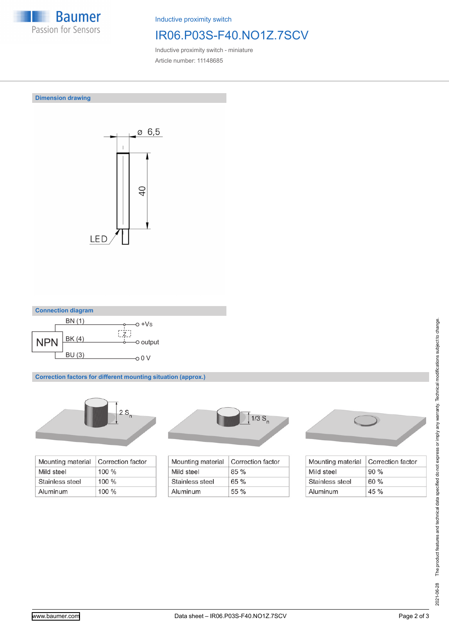

Inductive proximity switch

# IR06.P03S-F40.NO1Z.7SCV

Inductive proximity switch - miniature Article number: 11148685

**Dimension drawing**





**Correction factors for different mounting situation (approx.)**



| Mounting material | Correction factor |
|-------------------|-------------------|
| Mild steel        | $100 \%$          |
| Stainless steel   | $100 \%$          |
| Aluminum          | $100\%$           |



| Mounting material | Correction factor |
|-------------------|-------------------|
| Mild steel        | 85%               |
| Stainless steel   | 65%               |
| Aluminum          | $55\%$            |



| Mounting material | Correction factor |
|-------------------|-------------------|
| Mild steel        | $90\%$            |
| Stainless steel   | 60%               |
| Aluminum          | $45 \%$           |